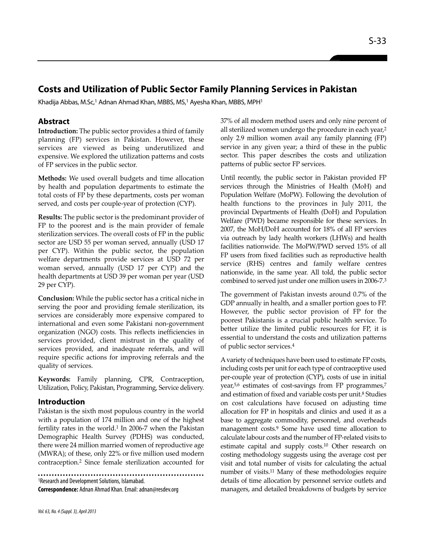# **Costs and Utilization of Public Sector Family Planning Services in Pakistan**

Khadija Abbas, M.Sc,<sup>1</sup> Adnan Ahmad Khan, MBBS, MS,<sup>1</sup> Ayesha Khan, MBBS, MPH<sup>1</sup>

### **Abstract**

**Introduction:** The public sector provides a third of family planning (FP) services in Pakistan. However, these services are viewed as being underutilized and expensive. We explored the utilization patterns and costs of FP services in the public sector.

**Methods:** We used overall budgets and time allocation by health and population departments to estimate the total costs of FP by these departments, costs per woman served, and costs per couple-year of protection (CYP).

**Results:** The public sector is the predominant provider of FP to the poorest and is the main provider of female sterilization services. The overall costs of FP in the public sector are USD 55 per woman served, annually (USD 17 per CYP). Within the public sector, the population welfare departments provide services at USD 72 per woman served, annually (USD 17 per CYP) and the health departments at USD 39 per woman per year (USD 29 per CYP).

**Conclusion:** While the public sector has a critical niche in serving the poor and providing female sterilization, its services are considerably more expensive compared to international and even some Pakistani non-government organization (NGO) costs. This reflects inefficiencies in services provided, client mistrust in the quality of services provided, and inadequate referrals, and will require specific actions for improving referrals and the quality of services.

**Keywords:** Family planning, CPR, Contraception, Utilization, Policy, Pakistan, Programming, Service delivery.

#### **Introduction**

Pakistan is the sixth most populous country in the world with a population of 174 million and one of the highest fertility rates in the world. $1$  In 2006-7 when the Pakistan Demographic Health Survey (PDHS) was conducted, there were 24 million married women of reproductive age (MWRA); of these, only 22% or five million used modern contraception.<sup>2</sup> Since female sterilization accounted for

<sup>1</sup>Research and Development Solutions, Islamabad.

**Correspondence:** Adnan Ahmad Khan. Email: adnan@resdev.org

37% of all modern method users and only nine percent of all sterilized women undergo the procedure in each year,<sup>2</sup> only 2.9 million women avail any family planning (FP) service in any given year; a third of these in the public sector. This paper describes the costs and utilization patterns of public sector FP services.

Until recently, the public sector in Pakistan provided FP services through the Ministries of Health (MoH) and Population Welfare (MoPW). Following the devolution of health functions to the provinces in July 2011, the provincial Departments of Health (DoH) and Population Welfare (PWD) became responsible for these services. In 2007, the MoH/DoH accounted for 18% of all FP services via outreach by lady health workers (LHWs) and health facilities nationwide. The MoPW/PWD served 15% of all FP users from fixed facilities such as reproductive health service (RHS) centres and family welfare centres nationwide, in the same year. All told, the public sector combined to served just under one million users in 2006-7.<sup>3</sup>

The government of Pakistan invests around 0.7% of the GDP annually in health, and a smaller portion goes to FP. However, the public sector provision of FP for the poorest Pakistanis is a crucial public health service. To better utilize the limited public resources for FP, it is essential to understand the costs and utilization patterns of public sector services.<sup>4</sup>

A variety of techniques have been used to estimate FP costs, including costs per unit for each type of contraceptive used per-couple year of protection (CYP), costs of use in initial year,<sup>5,6</sup> estimates of cost-savings from FP programmes,<sup>7</sup> and estimation of fixed and variable costs per unit. <sup>8</sup> Studies on cost calculations have focused on adjusting time allocation for FP in hospitals and clinics and used it as a base to aggregate commodity, personnel, and overheads management costs.<sup>9</sup> Some have used time allocation to calculate labour costs and the number of FP-related visits to estimate capital and supply costs.<sup>10</sup> Other research on costing methodology suggests using the average cost per visit and total number of visits for calculating the actual number of visits.<sup>11</sup> Many of these methodologies require details of time allocation by personnel service outlets and managers, and detailed breakdowns of budgets by service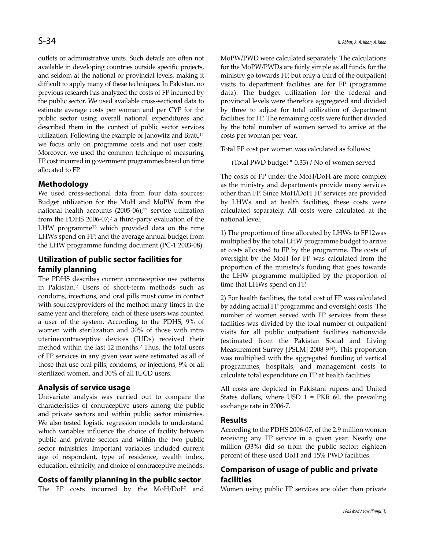outlets or administrative units. Such details are often not available in developing countries outside specific projects, and seldom at the national or provincial levels, making it difficult to apply many of these techniques. In Pakistan, no previous research has analyzed the costs of FP incurred by the public sector. We used available cross-sectional data to estimate average costs per woman and per CYP for the public sector using overall national expenditures and described them in the context of public sector services utilization. Following the example of Janowitz and Bratt, $11$ we focus only on programme costs and not user costs. Moreover, we used the common technique of measuring FP cost incurred in government programmes based on time allocated to FP.

### **Methodology**

We used cross-sectional data from four data sources: Budget utilization for the MoH and MoPW from the national health accounts (2005-06);<sup>12</sup> service utilization from the PDHS 2006-07;<sup>2</sup> a third-party evaluation of the LHW programme<sup>13</sup> which provided data on the time LHWs spend on FP; and the average annual budget from the LHW programme funding document (PC-1 2003-08).

## **Utilization of public sector facilities for family planning**

The PDHS describes current contraceptive use patterns in Pakistan.<sup>2</sup> Users of short-term methods such as condoms, injections, and oral pills must come in contact with sources/providers of the method many times in the same year and therefore, each of these users was counted a user of the system. According to the PDHS, 9% of women with sterilization and 30% of those with intra uterinecontraceptive devices (IUDs) received their method within the last 12 months.<sup>2</sup> Thus, the total users of FP services in any given year were estimated as all of those that use oral pills, condoms, or injections, 9% of all sterilized women, and 30% of all IUCD users.

### **Analysis of service usage**

Univariate analysis was carried out to compare the characteristics of contraceptive users among the public and private sectors and within public sector ministries. We also tested logistic regression models to understand which variables influence the choice of facility between public and private sectors and within the two public sector ministries. Important variables included current age of respondent, type of residence, wealth index, education, ethnicity, and choice of contraceptive methods.

### **Costs of family planning in the public sector**

The FP costs incurred by the MoH/DoH and

MoPW/PWD were calculated separately. The calculations for the MoPW/PWDs are fairly simple as all funds for the ministry go towards FP, but only a third of the outpatient visits to department facilities are for FP (programme data). The budget utilization for the federal and provincial levels were therefore aggregated and divided by three to adjust for total utilization of department facilities for FP. The remaining costs were further divided by the total number of women served to arrive at the costs per woman per year.

Total FP cost per women was calculated as follows:

(Total PWD budget \* 0.33) / No of women served

The costs of FP under the MoH/DoH are more complex as the ministry and departments provide many services other than FP. Since MoH/DoH FP services are provided by LHWs and at health facilities, these costs were calculated separately. All costs were calculated at the national level.

1) The proportion of time allocated by LHWs to FP12was multiplied by the total LHW programme budget to arrive at costs allocated to FP by the programme. The costs of oversight by the MoH for FP was calculated from the proportion of the ministry's funding that goes towards the LHW programme multiplied by the proportion of time that LHWs spend on FP.

2) For health facilities, the total cost of FP was calculated by adding actual FP programme and oversight costs. The number of women served with FP services from these facilities was divided by the total number of outpatient visits for all public outpatient facilities nationwide (estimated from the Pakistan Social and Living Measurement Survey [PSLM] 2008-9<sup>14</sup>). This proportion was multiplied with the aggregated funding of vertical programmes, hospitals, and management costs to calculate total expenditure on FP at health facilities.

All costs are depicted in Pakistani rupees and United States dollars, where USD  $1$  = PKR 60, the prevailing exchange rate in 2006-7.

#### **Results**

According to the PDHS 2006-07, of the 2.9 million women receiving any FP service in a given year. Nearly one million (33%) did so from the public sector; eighteen percent of these used DoH and 15% PWD facilities.

### **Comparison of usage of public and private facilities**

Women using public FP services are older than private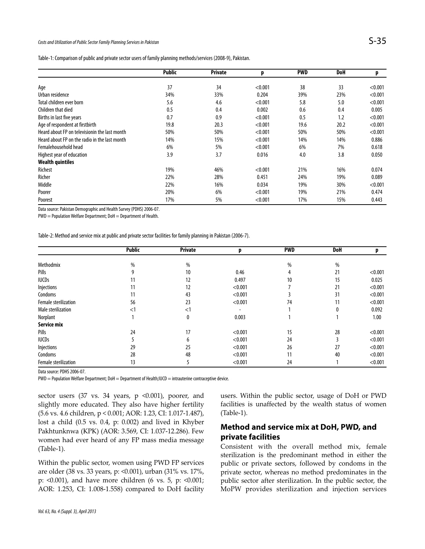#### Costs and Utilization of Public Sector Family Planning Services in Pakistan  $\mathsf{S}\text{-}35$

|                                               | <b>Public</b> | <b>Private</b> | p       | <b>PWD</b> | DoH  | p       |
|-----------------------------------------------|---------------|----------------|---------|------------|------|---------|
|                                               |               |                |         |            |      |         |
| Age                                           | 37            | 34             | < 0.001 | 38         | 33   | < 0.001 |
| Urban residence                               | 34%           | 33%            | 0.204   | 39%        | 23%  | < 0.001 |
| Total children ever born                      | 5.6           | 4.6            | < 0.001 | 5.8        | 5.0  | < 0.001 |
| Children that died                            | 0.5           | 0.4            | 0.002   | 0.6        | 0.4  | 0.005   |
| Births in last five years                     | 0.7           | 0.9            | < 0.001 | 0.5        | 1.2  | < 0.001 |
| Age of respondent at firstbirth               | 19.8          | 20.3           | < 0.001 | 19.6       | 20.2 | < 0.001 |
| Heard about FP on televisionin the last month | 50%           | 50%            | < 0.001 | 50%        | 50%  | < 0.001 |
| Heard about FP on the radio in the last month | 14%           | 15%            | < 0.001 | 14%        | 14%  | 0.886   |
| Femalehousehold head                          | 6%            | 5%             | < 0.001 | 6%         | 7%   | 0.618   |
| Highest year of education                     | 3.9           | 3.7            | 0.016   | 4.0        | 3.8  | 0.050   |
| <b>Wealth quintiles</b>                       |               |                |         |            |      |         |
| Richest                                       | 19%           | 46%            | < 0.001 | 21%        | 16%  | 0.074   |
| Richer                                        | 22%           | 28%            | 0.451   | 24%        | 19%  | 0.089   |
| Middle                                        | 22%           | 16%            | 0.034   | 19%        | 30%  | < 0.001 |
| Poorer                                        | 20%           | 6%             | < 0.001 | 19%        | 21%  | 0.474   |
| Poorest                                       | 17%           | 5%             | < 0.001 | 17%        | 15%  | 0.443   |

Data source: Pakistan Demographic and Health Survey (PDHS) 2006-07.

PWD = Population Welfare Department; DoH = Department of Health.

Table-2: Method and service mix at public and private sector facilities for family planning in Pakistan (2006-7).

|                      | <b>Public</b> | <b>Private</b> | n       | <b>PWD</b> | DoH | p       |
|----------------------|---------------|----------------|---------|------------|-----|---------|
| Methodmix            | %             | %              |         | %          | %   |         |
| Pills                | 9             | 10             | 0.46    | 4          | 21  | < 0.001 |
| <b>IUCDs</b>         | 11            | 12             | 0.497   | 10         | 15  | 0.025   |
| Injections           | 11            | 12             | < 0.001 |            | 21  | < 0.001 |
| Condoms              | 11            | 43             | < 0.001 |            | 31  | < 0.001 |
| Female sterilization | 56            | 23             | < 0.001 | 74         | 11  | < 0.001 |
| Male sterilization   | $<$ 1         | $<$ 1          |         |            | 0   | 0.092   |
| Norplant             |               | 0              | 0.003   |            |     | 1.00    |
| Service mix          |               |                |         |            |     |         |
| Pills                | 24            | 17             | < 0.001 | 15         | 28  | < 0.001 |
| <b>IUCDs</b>         |               | 6              | < 0.001 | 24         |     | < 0.001 |
| Injections           | 29            | 25             | < 0.001 | 26         | 27  | < 0.001 |
| Condoms              | 28            | 48             | < 0.001 | 11         | 40  | < 0.001 |
| Female sterilization | 13            |                | < 0.001 | 24         |     | < 0.001 |

Data source: PDHS 2006-07.

PWD = Population Welfare Department; DoH = Department of Health;IUCD = intrauterine contraceptive device.

sector users  $(37 \text{ vs. } 34 \text{ years}, p \le 0.001)$ , poorer, and slightly more educated. They also have higher fertility (5.6 vs. 4.6 children, p < 0.001; AOR: 1.23, CI: 1.017-1.487), lost a child (0.5 vs. 0.4, p: 0.002) and lived in Khyber Pakhtunknwa (KPK) (AOR: 3.569, CI: 1.037-12.286). Few women had ever heard of any FP mass media message (Table-1).

Within the public sector, women using PWD FP services are older (38 vs. 33 years, p: <0.001), urban (31% vs. 17%, p: <0.001), and have more children (6 vs. 5, p: <0.001; AOR: 1.253, CI: 1.008-1.558) compared to DoH facility users. Within the public sector, usage of DoH or PWD facilities is unaffected by the wealth status of women (Table-1).

### **Method and service mix at DoH, PWD, and private facilities**

Consistent with the overall method mix, female sterilization is the predominant method in either the public or private sectors, followed by condoms in the private sector, whereas no method predominates in the public sector after sterilization. In the public sector, the MoPW provides sterilization and injection services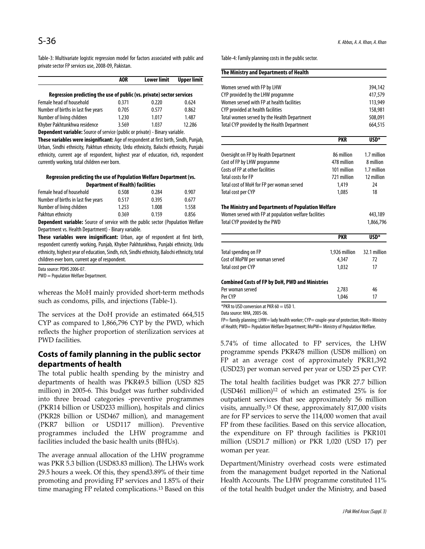Table-3: Multivariate logistic regression model for factors associated with public and private sector FP services use, 2008-09, Pakistan.

|                                                                       | <b>AOR</b> | <b>Lower limit</b> | <b>Upper limit</b> |
|-----------------------------------------------------------------------|------------|--------------------|--------------------|
| Regression predicting the use of public (vs. private) sector services |            |                    |                    |
| Female head of household                                              | 0.371      | 0.220              | 0.624              |
| Number of births in last five years                                   | 0.705      | 0.577              | 0.862              |
| Number of living children                                             | 1.230      | 1.017              | 1.487              |
| Khyber Pakhtunkhwa residence                                          | 3.569      | 1.037              | 12.286             |

**Dependent variable:** Source of service (public or private) - Binary variable.

**These variables were insignificant:** Age of respondent at first birth, Sindh, Punjab, Urban, Sindhi ethnicity, Pakhtun ethnicity, Urdu ethnicity, Balochi ethnicity, Punjabi ethnicity, current age of respondent, highest year of education, rich, respondent currently working, total children ever born.

#### **Regression predicting the use of Population Welfare Department (vs. Department of Health) facilities**

| Female head of household            | 0.508 | 0.284 | 0.907 |
|-------------------------------------|-------|-------|-------|
| Number of births in last five years | 0.517 | 0.395 | 0.677 |
| Number of living children           | 1.253 | 1.008 | 1.558 |
| Pakhtun ethnicity                   | 0.369 | 0.159 | 0.856 |

**Dependent variable:** Source of service with the public sector (Population Welfare Department vs. Health Department) - Binary variable.

**These variables were insignificant:** Urban, age of respondent at first birth, respondent currently working, Punjab, Khyber Pakhtunkhwa, Punjabi ethnicity, Urdu ethnicity, highest year of education, Sindh, rich, Sindhi ethnicity, Balochi ethnicity, total children ever born, current age of respondent.

|  | Data source: PDHS 2006-07. |
|--|----------------------------|
|--|----------------------------|

PWD = Population Welfare Department.

whereas the MoH mainly provided short-term methods such as condoms, pills, and injections (Table-1).

The services at the DoH provide an estimated 664,515 CYP as compared to 1,866,796 CYP by the PWD, which reflects the higher proportion of sterilization services at PWD facilities.

### **Costs of family planning in the public sector departments of health**

The total public health spending by the ministry and departments of health was PKR49.5 billion (USD 825 million) in 2005-6. This budget was further subdivided into three broad categories -preventive programmes (PKR14 billion or USD233 million), hospitals and clinics (PKR28 billion or USD467 million), and management (PKR7 billion or USD117 million). Preventive programmes included the LHW programme and facilities included the basic health units (BHUs).

The average annual allocation of the LHW programme was PKR 5.3 billion (USD83.83 million). The LHWs work 29.5 hours a week. Of this, they spend3.89% of their time promoting and providing FP services and 1.85% of their time managing FP related complications.<sup>13</sup> Based on this Table-4: Family planning costs in the public sector.

| The Ministry and Departments of Health                 |               |                  |
|--------------------------------------------------------|---------------|------------------|
| Women served with FP by LHW                            |               | 394,142          |
| CYP provided by the LHW programme                      |               | 417,579          |
| Women served with FP at health facilities              |               | 113,949          |
| CYP provided at health facilities                      |               | 158,981          |
| Total women served by the Health Department            |               | 508,091          |
| Total CYP provided by the Health Department            |               | 664,515          |
|                                                        | <b>PKR</b>    | USD <sup>*</sup> |
| Oversight on FP by Health Department                   | 86 million    | 1.7 million      |
| Cost of FP by LHW programme                            | 478 million   | 8 million        |
| Costs of FP at other facilities                        | 101 million   | 1.7 million      |
| <b>Total costs for FP</b>                              | 721 million   | 12 million       |
| Total cost of MoH for FP per woman served              | 1,419         | 24               |
| Total cost per CYP                                     | 1,085         | 18               |
| The Ministry and Departments of Population Welfare     |               |                  |
| Women served with FP at population welfare facilities  |               | 443,189          |
| Total CYP provided by the PWD                          |               | 1,866,796        |
|                                                        | <b>PKR</b>    | USD <sup>*</sup> |
| Total spending on FP                                   | 1,926 million | 32.1 million     |
| Cost of MoPW per woman served                          | 4,347         | 72               |
| <b>Total cost per CYP</b>                              | 1,032         | 17               |
| <b>Combined Costs of FP by DoH, PWD and Ministries</b> |               |                  |
| Per woman served                                       | 2,783         | 46               |
| Per CYP                                                | 1,046         | 17               |
| *DKD to USD conversion at DKD 60 - USD 1               |               |                  |

 $R$  to USD conversion at PKR 60  $=$  USD 1.

Data source: NHA, 2005-06.

FP= family planning; LHW= lady health worker; CYP= couple-year of protection; MoH= Ministry of Health; PWD= Population Welfare Department; MoPW= Ministry of Population Welfare.

5.74% of time allocated to FP services, the LHW programme spends PKR478 million (USD8 million) on FP at an average cost of approximately PKR1,392 (USD23) per woman served per year or USD 25 per CYP.

The total health facilities budget was PKR 27.7 billion (USD461 million) $12$  of which an estimated  $25\%$  is for outpatient services that see approximately 56 million visits, annually.<sup>15</sup> Of these, approximately 817,000 visits are for FP services to serve the 114,000 women that avail FP from these facilities. Based on this service allocation, the expenditure on FP through facilities is PKR101 million (USD1.7 million) or PKR 1,020 (USD 17) per woman per year.

Department/Ministry overhead costs were estimated from the management budget reported in the National Health Accounts. The LHW programme constituted 11% of the total health budget under the Ministry, and based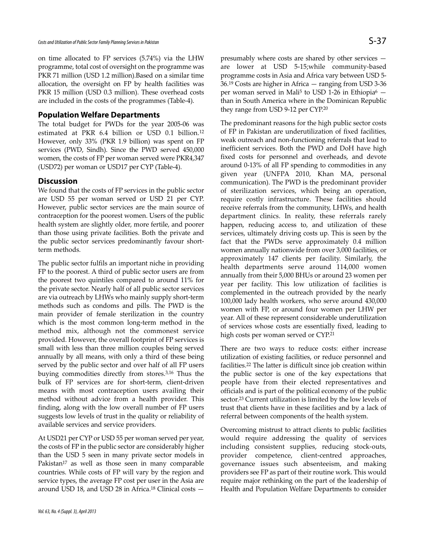on time allocated to FP services (5.74%) via the LHW programme, total cost of oversight on the programme was PKR 71 million (USD 1.2 million).Based on a similar time allocation, the oversight on FP by health facilities was PKR 15 million (USD 0.3 million). These overhead costs are included in the costs of the programmes (Table-4).

#### **Population Welfare Departments**

The total budget for PWDs for the year 2005-06 was estimated at PKR 6.4 billion or USD 0.1 billion.<sup>12</sup> However, only 33% (PKR 1.9 billion) was spent on FP services (PWD, Sindh). Since the PWD served 450,000 women, the costs of FP per woman served were PKR4,347 (USD72) per woman or USD17 per CYP (Table-4).

#### **Discussion**

We found that the costs of FP services in the public sector are USD 55 per woman served or USD 21 per CYP. However, public sector services are the main source of contraception for the poorest women. Users of the public health system are slightly older, more fertile, and poorer than those using private facilities. Both the private and the public sector services predominantly favour shortterm methods.

The public sector fulfils an important niche in providing FP to the poorest. A third of public sector users are from the poorest two quintiles compared to around 11% for the private sector. Nearly half of all public sector services are via outreach by LHWs who mainly supply short-term methods such as condoms and pills. The PWD is the main provider of female sterilization in the country which is the most common long-term method in the method mix, although not the commonest service provided. However, the overall footprint of FP services is small with less than three million couples being served annually by all means, with only a third of these being served by the public sector and over half of all FP users buying commodities directly from stores.3,16 Thus the bulk of FP services are for short-term, client-driven means with most contraception users availing their method without advice from a health provider. This finding, along with the low overall number of FP users suggests low levels of trust in the quality or reliability of available services and service providers.

At USD21 per CYP or USD 55 per woman served per year, the costs of FP in the public sector are considerably higher than the USD 5 seen in many private sector models in Pakistan<sup>17</sup> as well as those seen in many comparable countries. While costs of FP will vary by the region and service types, the average FP cost per user in the Asia are around USD 18, and USD 28 in Africa.<sup>18</sup> Clinical costs —

presumably where costs are shared by other services are lower at USD 5-15;while community-based programme costs in Asia and Africa vary between USD 5- 36.<sup>19</sup> Costs are higher in Africa — ranging from USD 3-36 per woman served in Mali<sup>5</sup> to USD 1-26 in Ethiopia<sup>6</sup>  $$ than in South America where in the Dominican Republic they range from USD 9-12 per CYP.<sup>20</sup>

The predominant reasons for the high public sector costs of FP in Pakistan are underutilization of fixed facilities, weak outreach and non-functioning referrals that lead to inefficient services. Both the PWD and DoH have high fixed costs for personnel and overheads, and devote around 0-13% of all FP spending to commodities in any given year (UNFPA 2010, Khan MA, personal communication). The PWD is the predominant provider of sterilization services, which being an operation, require costly infrastructure. These facilities should receive referrals from the community, LHWs, and health department clinics. In reality, these referrals rarely happen, reducing access to, and utilization of these services, ultimately driving costs up. This is seen by the fact that the PWDs serve approximately 0.4 million women annually nationwide from over 3,000 facilities, or approximately 147 clients per facility. Similarly, the health departments serve around 114,000 women annually from their 5,000 BHUs or around 23 women per year per facility. This low utilization of facilities is complemented in the outreach provided by the nearly 100,000 lady health workers, who serve around 430,000 women with FP, or around four women per LHW per year. All of these represent considerable underutilization of services whose costs are essentially fixed, leading to high costs per woman served or CYP.<sup>21</sup>

There are two ways to reduce costs: either increase utilization of existing facilities, or reduce personnel and facilities.<sup>22</sup> The latter is difficult since job creation within the public sector is one of the key expectations that people have from their elected representatives and officials and is part of the political economy of the public sector.<sup>23</sup> Current utilization is limited by the low levels of trust that clients have in these facilities and by a lack of referral between components of the health system.

Overcoming mistrust to attract clients to public facilities would require addressing the quality of services including consistent supplies, reducing stock-outs, provider competence, client-centred approaches, governance issues such absenteeism, and making providers see FP as part of their routine work. This would require major rethinking on the part of the leadership of Health and Population Welfare Departments to consider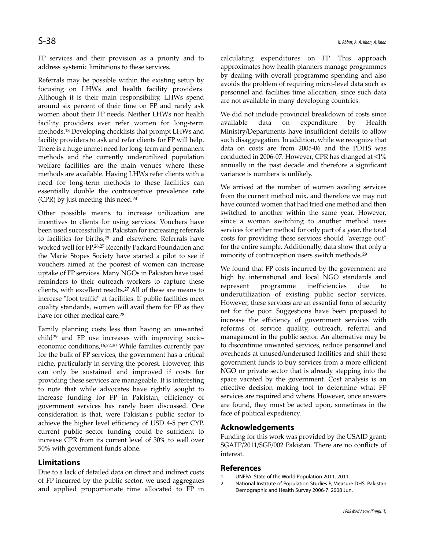FP services and their provision as a priority and to address systemic limitations to these services.

Referrals may be possible within the existing setup by focusing on LHWs and health facility providers. Although it is their main responsibility, LHWs spend around six percent of their time on FP and rarely ask women about their FP needs. Neither LHWs nor health facility providers ever refer women for long-term methods.<sup>13</sup> Developing checklists that prompt LHWs and facility providers to ask and refer clients for FP will help. There is a huge unmet need for long-term and permanent methods and the currently underutilized population welfare facilities are the main venues where these methods are available. Having LHWs refer clients with a need for long-term methods to these facilities can essentially double the contraceptive prevalence rate (CPR) by just meeting this need.<sup>24</sup>

Other possible means to increase utilization are incentives to clients for using services. Vouchers have been used successfully in Pakistan for increasing referrals to facilities for births,<sup>25</sup> and elsewhere. Referrals have worked well for FP.26,27 Recently Packard Foundation and the Marie Stopes Society have started a pilot to see if vouchers aimed at the poorest of women can increase uptake of FP services. Many NGOs in Pakistan have used reminders to their outreach workers to capture these clients, with excellent results.<sup>27</sup> All of these are means to increase "foot traffic" at facilities. If public facilities meet quality standards, women will avail them for FP as they have for other medical care.<sup>28</sup>

Family planning costs less than having an unwanted child<sup>29</sup> and FP use increases with improving socioeconomic conditions,16,22,30 While families currently pay for the bulk of FP services, the government has a critical niche, particularly in serving the poorest. However, this can only be sustained and improved if costs for providing these services are manageable. It is interesting to note that while advocates have rightly sought to increase funding for FP in Pakistan, efficiency of government services has rarely been discussed. One consideration is that, were Pakistan's public sector to achieve the higher level efficiency of USD 4-5 per CYP, current public sector funding could be sufficient to increase CPR from its current level of 30% to well over 50% with government funds alone.

#### **Limitations**

Due to a lack of detailed data on direct and indirect costs of FP incurred by the public sector, we used aggregates and applied proportionate time allocated to FP in calculating expenditures on FP. This approach approximates how health planners manage programmes by dealing with overall programme spending and also avoids the problem of requiring micro-level data such as personnel and facilities time allocation, since such data are not available in many developing countries.

We did not include provincial breakdown of costs since available data on expenditure by Health Ministry/Departments have insufficient details to allow such disaggregation. In addition, while we recognize that data on costs are from 2005-06 and the PDHS was conducted in 2006-07. However, CPR has changed at <1% annually in the past decade and therefore a significant variance is numbers is unlikely.

We arrived at the number of women availing services from the current method mix, and therefore we may not have counted women that had tried one method and then switched to another within the same year. However, since a woman switching to another method uses services for either method for only part of a year, the total costs for providing these services should "average out" for the entire sample. Additionally, data show that only a minority of contraception users switch methods.<sup>29</sup>

We found that FP costs incurred by the government are high by international and local NGO standards and represent programme inefficiencies due underutilization of existing public sector services. However, these services are an essential form of security net for the poor. Suggestions have been proposed to increase the efficiency of government services with reforms of service quality, outreach, referral and management in the public sector. An alternative may be to discontinue unwanted services, reduce personnel and overheads at unused/underused facilities and shift these government funds to buy services from a more efficient NGO or private sector that is already stepping into the space vacated by the government. Cost analysis is an effective decision making tool to determine what FP services are required and where. However, once answers are found, they must be acted upon, sometimes in the face of political expediency.

#### **Acknowledgements**

Funding for this work was provided by the USAID grant: SGAFP/2011/SGF/002 Pakistan. There are no conflicts of interest.

#### **References**

- 1. UNFPA. State of the World Population 2011. 2011.
- 2. National Institute of Population Studies P, Measure DHS. Pakistan Demographic and Health Survey 2006-7. 2008 Jun.